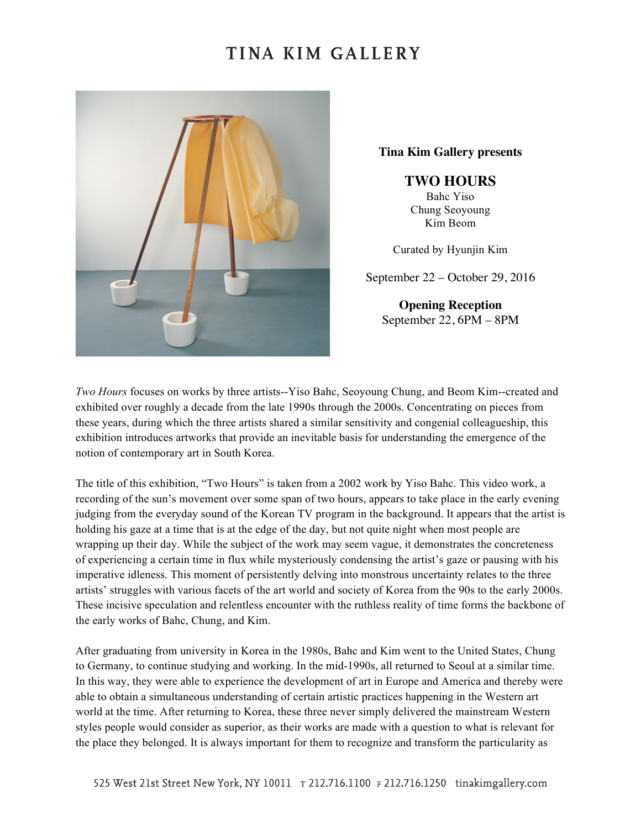### TINA KIM GALLERY



**Tina Kim Gallery presents**

**TWO HOURS**

Bahc Yiso Chung Seoyoung Kim Beom

Curated by Hyunjin Kim

September 22 – October 29, 2016

**Opening Reception** September 22, 6PM – 8PM

*Two Hours* focuses on works by three artists--Yiso Bahc, Seoyoung Chung, and Beom Kim--created and exhibited over roughly a decade from the late 1990s through the 2000s. Concentrating on pieces from these years, during which the three artists shared a similar sensitivity and congenial colleagueship, this exhibition introduces artworks that provide an inevitable basis for understanding the emergence of the notion of contemporary art in South Korea.

The title of this exhibition, "Two Hours" is taken from a 2002 work by Yiso Bahc. This video work, a recording of the sun's movement over some span of two hours, appears to take place in the early evening judging from the everyday sound of the Korean TV program in the background. It appears that the artist is holding his gaze at a time that is at the edge of the day, but not quite night when most people are wrapping up their day. While the subject of the work may seem vague, it demonstrates the concreteness of experiencing a certain time in flux while mysteriously condensing the artist's gaze or pausing with his imperative idleness. This moment of persistently delving into monstrous uncertainty relates to the three artists' struggles with various facets of the art world and society of Korea from the 90s to the early 2000s. These incisive speculation and relentless encounter with the ruthless reality of time forms the backbone of the early works of Bahc, Chung, and Kim.

After graduating from university in Korea in the 1980s, Bahc and Kim went to the United States, Chung to Germany, to continue studying and working. In the mid-1990s, all returned to Seoul at a similar time. In this way, they were able to experience the development of art in Europe and America and thereby were able to obtain a simultaneous understanding of certain artistic practices happening in the Western art world at the time. After returning to Korea, these three never simply delivered the mainstream Western styles people would consider as superior, as their works are made with a question to what is relevant for the place they belonged. It is always important for them to recognize and transform the particularity as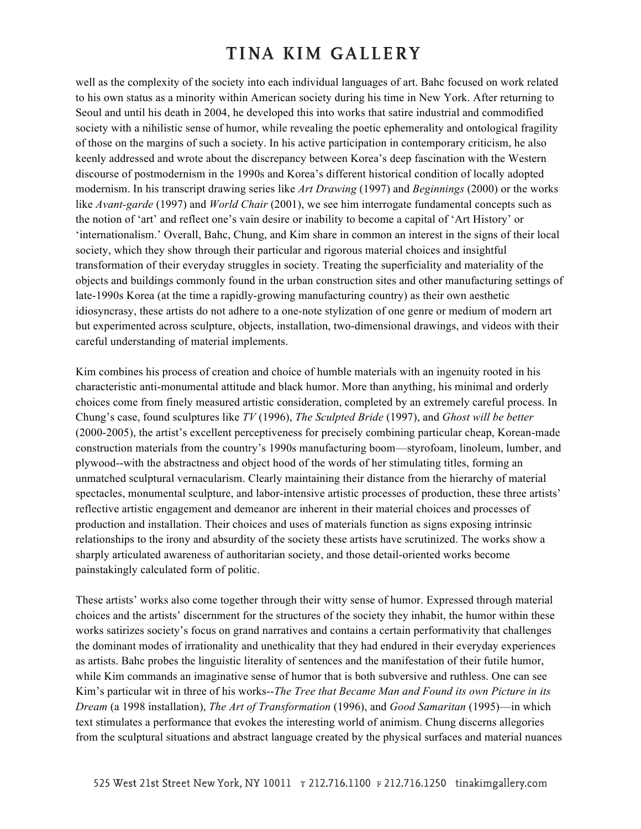# TINA KIM GALLERY

well as the complexity of the society into each individual languages of art. Bahc focused on work related to his own status as a minority within American society during his time in New York. After returning to Seoul and until his death in 2004, he developed this into works that satire industrial and commodified society with a nihilistic sense of humor, while revealing the poetic ephemerality and ontological fragility of those on the margins of such a society. In his active participation in contemporary criticism, he also keenly addressed and wrote about the discrepancy between Korea's deep fascination with the Western discourse of postmodernism in the 1990s and Korea's different historical condition of locally adopted modernism. In his transcript drawing series like *Art Drawing* (1997) and *Beginnings* (2000) or the works like *Avant-garde* (1997) and *World Chair* (2001), we see him interrogate fundamental concepts such as the notion of 'art' and reflect one's vain desire or inability to become a capital of 'Art History' or 'internationalism.' Overall, Bahc, Chung, and Kim share in common an interest in the signs of their local society, which they show through their particular and rigorous material choices and insightful transformation of their everyday struggles in society. Treating the superficiality and materiality of the objects and buildings commonly found in the urban construction sites and other manufacturing settings of late-1990s Korea (at the time a rapidly-growing manufacturing country) as their own aesthetic idiosyncrasy, these artists do not adhere to a one-note stylization of one genre or medium of modern art but experimented across sculpture, objects, installation, two-dimensional drawings, and videos with their careful understanding of material implements.

Kim combines his process of creation and choice of humble materials with an ingenuity rooted in his characteristic anti-monumental attitude and black humor. More than anything, his minimal and orderly choices come from finely measured artistic consideration, completed by an extremely careful process. In Chung's case, found sculptures like *TV* (1996), *The Sculpted Bride* (1997), and *Ghost will be better* (2000-2005), the artist's excellent perceptiveness for precisely combining particular cheap, Korean-made construction materials from the country's 1990s manufacturing boom—styrofoam, linoleum, lumber, and plywood--with the abstractness and object hood of the words of her stimulating titles, forming an unmatched sculptural vernacularism. Clearly maintaining their distance from the hierarchy of material spectacles, monumental sculpture, and labor-intensive artistic processes of production, these three artists' reflective artistic engagement and demeanor are inherent in their material choices and processes of production and installation. Their choices and uses of materials function as signs exposing intrinsic relationships to the irony and absurdity of the society these artists have scrutinized. The works show a sharply articulated awareness of authoritarian society, and those detail-oriented works become painstakingly calculated form of politic.

These artists' works also come together through their witty sense of humor. Expressed through material choices and the artists' discernment for the structures of the society they inhabit, the humor within these works satirizes society's focus on grand narratives and contains a certain performativity that challenges the dominant modes of irrationality and unethicality that they had endured in their everyday experiences as artists. Bahc probes the linguistic literality of sentences and the manifestation of their futile humor, while Kim commands an imaginative sense of humor that is both subversive and ruthless. One can see Kim's particular wit in three of his works--*The Tree that Became Man and Found its own Picture in its Dream* (a 1998 installation), *The Art of Transformation* (1996), and *Good Samaritan* (1995)—in which text stimulates a performance that evokes the interesting world of animism. Chung discerns allegories from the sculptural situations and abstract language created by the physical surfaces and material nuances